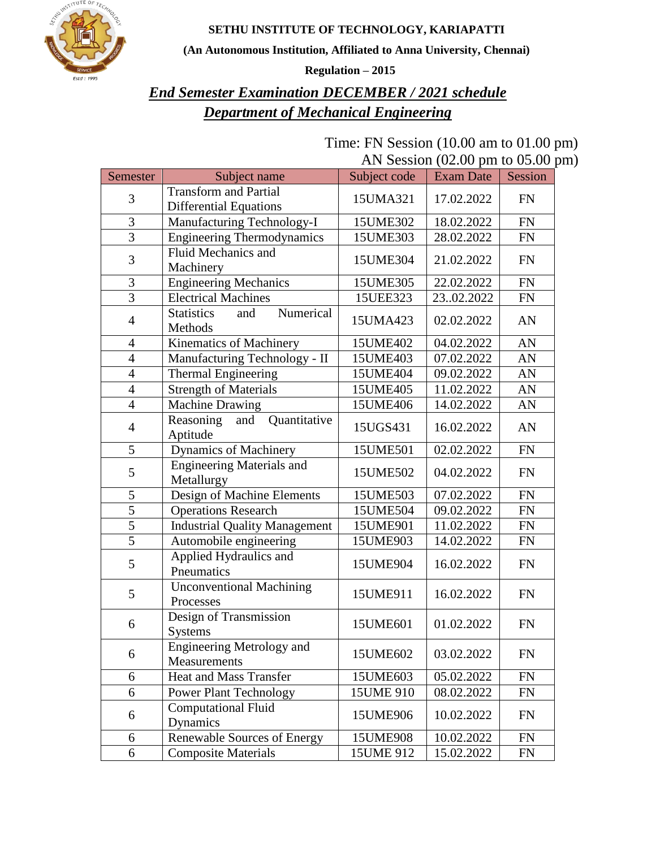**SETHU INSTITUTE OF TECHNOLOGY, KARIAPATTI**



**(An Autonomous Institution, Affiliated to Anna University, Chennai)**

**Regulation – 2015**

### *End Semester Examination DECEMBER / 2021 schedule Department of Mechanical Engineering*

| Time: FN Session $(10.00 \text{ am to } 01.00 \text{ pm})$ |                                                      |  |  |
|------------------------------------------------------------|------------------------------------------------------|--|--|
|                                                            | AN Session $(02.00 \text{ pm to } 05.00 \text{ pm})$ |  |  |

| Semester                 | Subject name                          | Subject code | <b>Exam Date</b> | Session    |
|--------------------------|---------------------------------------|--------------|------------------|------------|
|                          | <b>Transform and Partial</b>          |              |                  |            |
| 3                        | <b>Differential Equations</b>         | 15UMA321     | 17.02.2022       | <b>FN</b>  |
| 3                        | Manufacturing Technology-I            | 15UME302     | 18.02.2022       | <b>FN</b>  |
| 3                        | <b>Engineering Thermodynamics</b>     | 15UME303     | 28.02.2022       | FN         |
|                          | Fluid Mechanics and                   |              |                  |            |
| 3                        | Machinery                             | 15UME304     | 21.02.2022       | FN         |
| 3                        | <b>Engineering Mechanics</b>          | 15UME305     | 22.02.2022       | FN         |
| $\overline{3}$           | <b>Electrical Machines</b>            | 15UEE323     | 2302.2022        | <b>FN</b>  |
|                          | <b>Statistics</b><br>Numerical<br>and | 15UMA423     | 02.02.2022       | AN         |
| $\overline{4}$           | Methods                               |              |                  |            |
| 4                        | Kinematics of Machinery               | 15UME402     | 04.02.2022       | AN         |
| $\overline{4}$           | Manufacturing Technology - II         | 15UME403     | 07.02.2022       | AN         |
| $\overline{\mathcal{A}}$ | Thermal Engineering                   | 15UME404     | 09.02.2022       | AN         |
| $\overline{4}$           | <b>Strength of Materials</b>          | 15UME405     | 11.02.2022       | AN         |
| $\overline{4}$           | Machine Drawing                       | 15UME406     | 14.02.2022       | AN         |
|                          | Reasoning<br>Quantitative<br>and      | 15UGS431     | 16.02.2022       | AN         |
| $\overline{4}$           | Aptitude                              |              |                  |            |
| 5                        | <b>Dynamics of Machinery</b>          | 15UME501     | 02.02.2022       | ${\rm FN}$ |
| 5                        | <b>Engineering Materials and</b>      | 15UME502     | 04.02.2022       | FN         |
|                          | Metallurgy                            |              |                  |            |
| 5                        | Design of Machine Elements            | 15UME503     | 07.02.2022       | FN         |
| 5                        | <b>Operations Research</b>            | 15UME504     | 09.02.2022       | FN         |
| 5                        | <b>Industrial Quality Management</b>  | 15UME901     | 11.02.2022       | FN         |
| $\overline{5}$           | Automobile engineering                | 15UME903     | 14.02.2022       | FN         |
| 5                        | Applied Hydraulics and                | 15UME904     | 16.02.2022       | FN         |
|                          | Pneumatics                            |              |                  |            |
| 5                        | <b>Unconventional Machining</b>       | 15UME911     | 16.02.2022       | FN         |
|                          | Processes                             |              |                  |            |
| 6                        | Design of Transmission                | 15UME601     | 01.02.2022       | <b>FN</b>  |
|                          | <b>Systems</b>                        |              |                  |            |
| 6                        | <b>Engineering Metrology and</b>      | 15UME602     | 03.02.2022       | <b>FN</b>  |
|                          | Measurements                          |              |                  |            |
| 6                        | <b>Heat and Mass Transfer</b>         | 15UME603     | 05.02.2022       | FN         |
| 6                        | Power Plant Technology                | 15UME 910    | 08.02.2022       | FN         |
| 6                        | <b>Computational Fluid</b>            | 15UME906     | 10.02.2022       | <b>FN</b>  |
|                          | Dynamics                              |              |                  |            |
| 6                        | Renewable Sources of Energy           | 15UME908     | 10.02.2022       | FN         |
| 6                        | <b>Composite Materials</b>            | 15UME 912    | 15.02.2022       | FN         |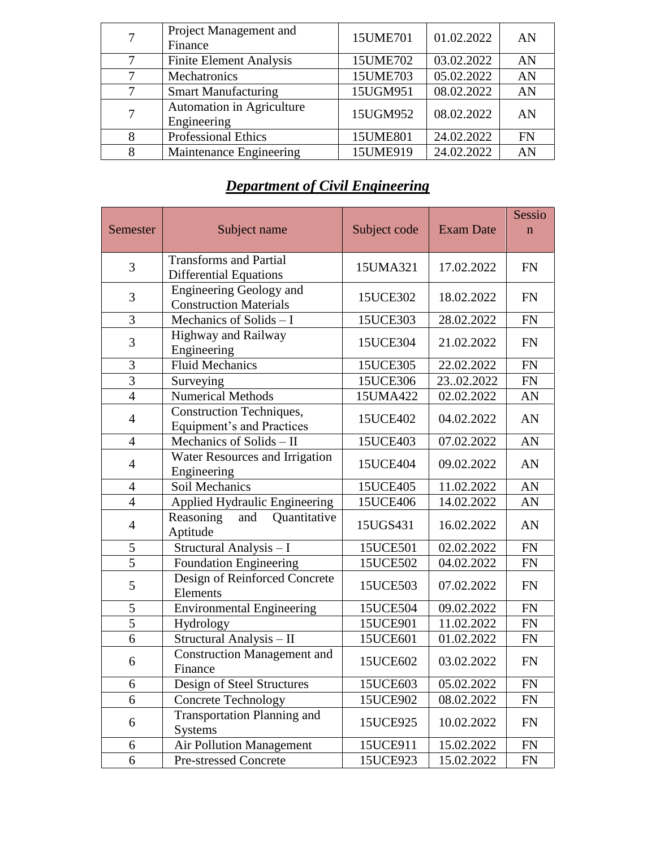|   | Project Management and<br>Finance        | 15UME701 | 01.02.2022 | AN        |
|---|------------------------------------------|----------|------------|-----------|
|   | <b>Finite Element Analysis</b>           | 15UME702 | 03.02.2022 | AN        |
|   | Mechatronics                             | 15UME703 | 05.02.2022 | AN        |
| 7 | <b>Smart Manufacturing</b>               | 15UGM951 | 08.02.2022 | AN        |
| 7 | Automation in Agriculture<br>Engineering | 15UGM952 | 08.02.2022 | AN        |
|   | <b>Professional Ethics</b>               | 15UME801 | 24.02.2022 | <b>FN</b> |
|   | Maintenance Engineering                  | 15UME919 | 24.02.2022 | AN        |

### *Department of Civil Engineering*

|                |                                                                     |              |                  | Sessio      |
|----------------|---------------------------------------------------------------------|--------------|------------------|-------------|
| Semester       | Subject name                                                        | Subject code | <b>Exam Date</b> | $\mathbf n$ |
| 3              | <b>Transforms and Partial</b><br><b>Differential Equations</b>      | 15UMA321     | 17.02.2022       | <b>FN</b>   |
| 3              | <b>Engineering Geology and</b><br><b>Construction Materials</b>     | 15UCE302     | 18.02.2022       | <b>FN</b>   |
| 3              | Mechanics of Solids - I                                             | 15UCE303     | 28.02.2022       | ${\rm FN}$  |
| 3              | Highway and Railway<br>Engineering                                  | 15UCE304     | 21.02.2022       | <b>FN</b>   |
| 3              | <b>Fluid Mechanics</b>                                              | 15UCE305     | 22.02.2022       | ${\rm FN}$  |
| $\overline{3}$ | Surveying                                                           | 15UCE306     | 2302.2022        | ${\rm FN}$  |
| $\overline{4}$ | <b>Numerical Methods</b>                                            | 15UMA422     | 02.02.2022       | AN          |
| $\overline{4}$ | <b>Construction Techniques,</b><br><b>Equipment's and Practices</b> | 15UCE402     | 04.02.2022       | AN          |
| $\overline{4}$ | Mechanics of Solids - II                                            | 15UCE403     | 07.02.2022       | AN          |
| $\overline{4}$ | Water Resources and Irrigation<br>Engineering                       | 15UCE404     | 09.02.2022       | AN          |
| $\overline{4}$ | <b>Soil Mechanics</b>                                               | 15UCE405     | 11.02.2022       | AN          |
| $\overline{4}$ | Applied Hydraulic Engineering                                       | 15UCE406     | 14.02.2022       | AN          |
| $\overline{4}$ | Quantitative<br>Reasoning<br>and<br>Aptitude                        | 15UGS431     | 16.02.2022       | AN          |
| 5              | Structural Analysis - I                                             | 15UCE501     | 02.02.2022       | ${\rm FN}$  |
| 5              | <b>Foundation Engineering</b>                                       | 15UCE502     | 04.02.2022       | FN          |
| 5              | Design of Reinforced Concrete<br>Elements                           | 15UCE503     | 07.02.2022       | FN          |
| 5              | <b>Environmental Engineering</b>                                    | 15UCE504     | 09.02.2022       | <b>FN</b>   |
| $\overline{5}$ | Hydrology                                                           | 15UCE901     | 11.02.2022       | FN          |
| 6              | Structural Analysis - II                                            | 15UCE601     | 01.02.2022       | FN          |
| 6              | <b>Construction Management and</b><br>Finance                       | 15UCE602     | 03.02.2022       | FN          |
| 6              | Design of Steel Structures                                          | 15UCE603     | 05.02.2022       | <b>FN</b>   |
| 6              | <b>Concrete Technology</b>                                          | 15UCE902     | 08.02.2022       | <b>FN</b>   |
| 6              | <b>Transportation Planning and</b><br><b>Systems</b>                | 15UCE925     | 10.02.2022       | <b>FN</b>   |
| 6              | <b>Air Pollution Management</b>                                     | 15UCE911     | 15.02.2022       | FN          |
| 6              | <b>Pre-stressed Concrete</b>                                        | 15UCE923     | 15.02.2022       | <b>FN</b>   |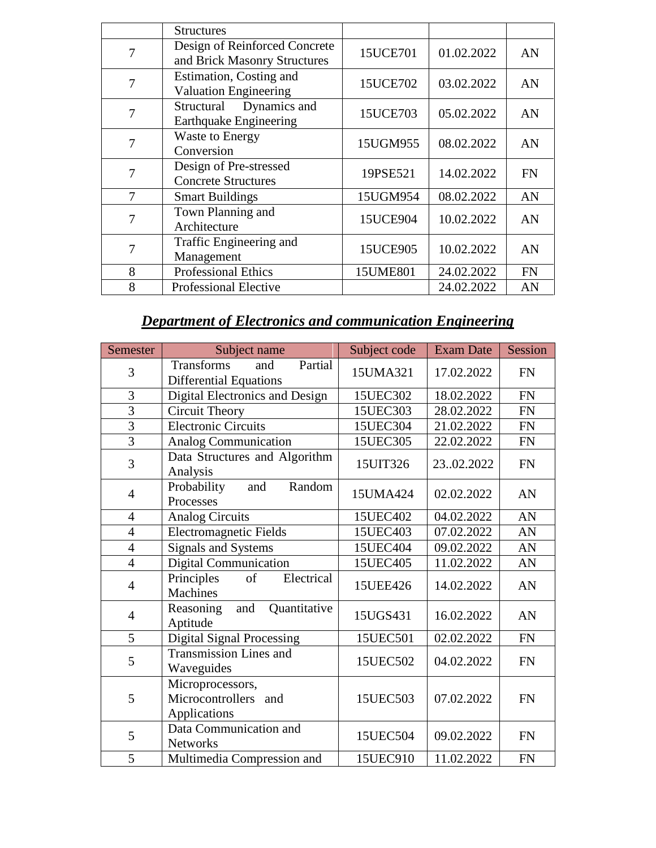|   | <b>Structures</b>                                             |          |            |           |
|---|---------------------------------------------------------------|----------|------------|-----------|
| 7 | Design of Reinforced Concrete<br>and Brick Masonry Structures | 15UCE701 | 01.02.2022 | AN        |
| 7 | Estimation, Costing and<br><b>Valuation Engineering</b>       | 15UCE702 | 03.02.2022 | AN        |
| 7 | Dynamics and<br>Structural<br><b>Earthquake Engineering</b>   | 15UCE703 | 05.02.2022 | AN        |
| 7 | <b>Waste to Energy</b><br>Conversion                          | 15UGM955 | 08.02.2022 | AN        |
| 7 | Design of Pre-stressed<br><b>Concrete Structures</b>          | 19PSE521 | 14.02.2022 | <b>FN</b> |
| 7 | <b>Smart Buildings</b>                                        | 15UGM954 | 08.02.2022 | AN        |
| 7 | Town Planning and<br>Architecture                             | 15UCE904 | 10.02.2022 | AN        |
| 7 | Traffic Engineering and<br>Management                         | 15UCE905 | 10.02.2022 | AN        |
| 8 | <b>Professional Ethics</b>                                    | 15UME801 | 24.02.2022 | <b>FN</b> |
| 8 | <b>Professional Elective</b>                                  |          | 24.02.2022 | AN        |

## *Department of Electronics and communication Engineering*

| Semester       | Subject name                                                         | Subject code | <b>Exam Date</b> | Session   |
|----------------|----------------------------------------------------------------------|--------------|------------------|-----------|
| 3              | <b>Transforms</b><br>Partial<br>and<br><b>Differential Equations</b> | 15UMA321     | 17.02.2022       | <b>FN</b> |
| 3              | Digital Electronics and Design                                       | 15UEC302     | 18.02.2022       | <b>FN</b> |
| $\overline{3}$ | Circuit Theory                                                       | 15UEC303     | 28.02.2022       | <b>FN</b> |
| $\overline{3}$ | <b>Electronic Circuits</b>                                           | 15UEC304     | 21.02.2022       | <b>FN</b> |
| $\overline{3}$ | Analog Communication                                                 | 15UEC305     | 22.02.2022       | <b>FN</b> |
| 3              | Data Structures and Algorithm<br>Analysis                            | 15UIT326     | 2302.2022        | <b>FN</b> |
| $\overline{4}$ | Probability<br>Random<br>and<br>Processes                            | 15UMA424     | 02.02.2022       | AN        |
| $\overline{4}$ | <b>Analog Circuits</b>                                               | 15UEC402     | 04.02.2022       | AN        |
| $\overline{4}$ | <b>Electromagnetic Fields</b>                                        | 15UEC403     | 07.02.2022       | AN        |
| $\overline{4}$ | <b>Signals and Systems</b>                                           | 15UEC404     | 09.02.2022       | AN        |
| $\overline{4}$ | Digital Communication                                                | 15UEC405     | 11.02.2022       | AN        |
| $\overline{4}$ | Electrical<br>Principles<br>of<br><b>Machines</b>                    | 15UEE426     | 14.02.2022       | AN        |
| $\overline{4}$ | Quantitative<br>and<br>Reasoning<br>Aptitude                         | 15UGS431     | 16.02.2022       | AN        |
| 5              | <b>Digital Signal Processing</b>                                     | 15UEC501     | 02.02.2022       | <b>FN</b> |
| 5              | <b>Transmission Lines and</b><br>Waveguides                          | 15UEC502     | 04.02.2022       | <b>FN</b> |
| 5              | Microprocessors,<br>Microcontrollers and<br>Applications             | 15UEC503     | 07.02.2022       | <b>FN</b> |
| 5              | Data Communication and<br><b>Networks</b>                            | 15UEC504     | 09.02.2022       | <b>FN</b> |
| 5              | Multimedia Compression and                                           | 15UEC910     | 11.02.2022       | <b>FN</b> |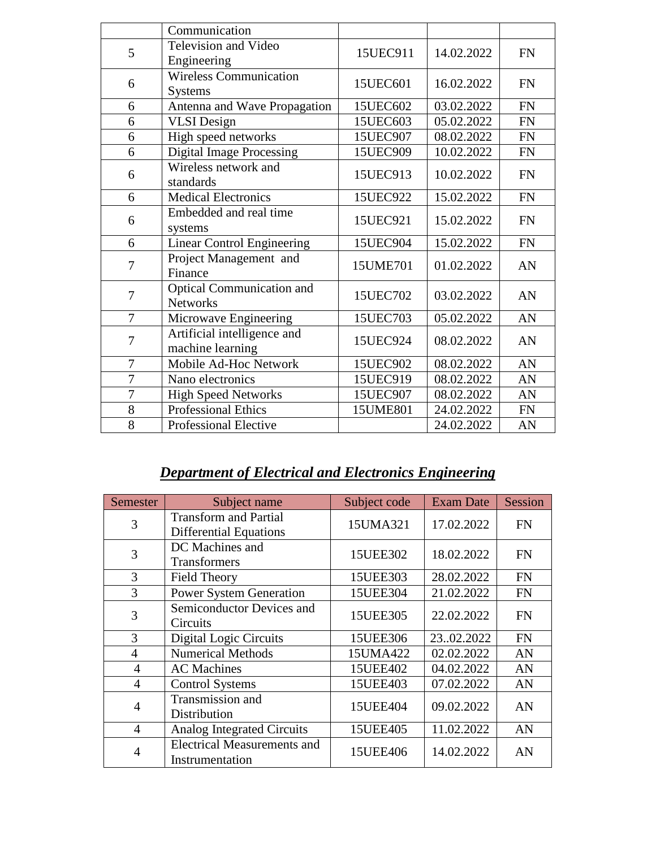|                | Communication                                       |          |            |           |
|----------------|-----------------------------------------------------|----------|------------|-----------|
| 5              | Television and Video<br>Engineering                 | 15UEC911 | 14.02.2022 | <b>FN</b> |
| 6              | <b>Wireless Communication</b><br>Systems            | 15UEC601 | 16.02.2022 | <b>FN</b> |
| 6              | Antenna and Wave Propagation                        | 15UEC602 | 03.02.2022 | <b>FN</b> |
| 6              | <b>VLSI</b> Design                                  | 15UEC603 | 05.02.2022 | <b>FN</b> |
| 6              | High speed networks                                 | 15UEC907 | 08.02.2022 | <b>FN</b> |
| 6              | <b>Digital Image Processing</b>                     | 15UEC909 | 10.02.2022 | <b>FN</b> |
| 6              | Wireless network and<br>standards                   | 15UEC913 | 10.02.2022 | <b>FN</b> |
| 6              | <b>Medical Electronics</b>                          | 15UEC922 | 15.02.2022 | <b>FN</b> |
| 6              | Embedded and real time<br>systems                   | 15UEC921 | 15.02.2022 | <b>FN</b> |
| 6              | <b>Linear Control Engineering</b>                   | 15UEC904 | 15.02.2022 | <b>FN</b> |
| 7              | Project Management and<br>Finance                   | 15UME701 | 01.02.2022 | AN        |
| $\overline{7}$ | <b>Optical Communication and</b><br><b>Networks</b> | 15UEC702 | 03.02.2022 | AN        |
| $\overline{7}$ | Microwave Engineering                               | 15UEC703 | 05.02.2022 | AN        |
| 7              | Artificial intelligence and<br>machine learning     | 15UEC924 | 08.02.2022 | AN        |
| 7              | Mobile Ad-Hoc Network                               | 15UEC902 | 08.02.2022 | AN        |
| 7              | Nano electronics                                    | 15UEC919 | 08.02.2022 | AN        |
| $\overline{7}$ | <b>High Speed Networks</b>                          | 15UEC907 | 08.02.2022 | AN        |
| 8              | <b>Professional Ethics</b>                          | 15UME801 | 24.02.2022 | <b>FN</b> |
| 8              | Professional Elective                               |          | 24.02.2022 | AN        |

# *Department of Electrical and Electronics Engineering*

| Semester       | Subject name                                                  | Subject code | <b>Exam Date</b> | Session   |
|----------------|---------------------------------------------------------------|--------------|------------------|-----------|
| 3              | <b>Transform and Partial</b><br><b>Differential Equations</b> | 15UMA321     | 17.02.2022       | <b>FN</b> |
| 3              | DC Machines and<br><b>Transformers</b>                        | 15UEE302     | 18.02.2022       | <b>FN</b> |
| 3              | <b>Field Theory</b>                                           | 15UEE303     | 28.02.2022       | <b>FN</b> |
| 3              | <b>Power System Generation</b>                                | 15UEE304     | 21.02.2022       | <b>FN</b> |
| 3              | Semiconductor Devices and<br>Circuits                         | 15UEE305     | 22.02.2022       | <b>FN</b> |
| 3              | Digital Logic Circuits                                        | 15UEE306     | 2302.2022        | <b>FN</b> |
| 4              | <b>Numerical Methods</b>                                      | 15UMA422     | 02.02.2022       | AN        |
| 4              | <b>AC</b> Machines                                            | 15UEE402     | 04.02.2022       | AN        |
| 4              | <b>Control Systems</b>                                        | 15UEE403     | 07.02.2022       | AN        |
| $\overline{4}$ | Transmission and<br>Distribution                              | 15UEE404     | 09.02.2022       | AN        |
| $\overline{4}$ | <b>Analog Integrated Circuits</b>                             | 15UEE405     | 11.02.2022       | AN        |
| 4              | <b>Electrical Measurements and</b><br>Instrumentation         | 15UEE406     | 14.02.2022       | AN        |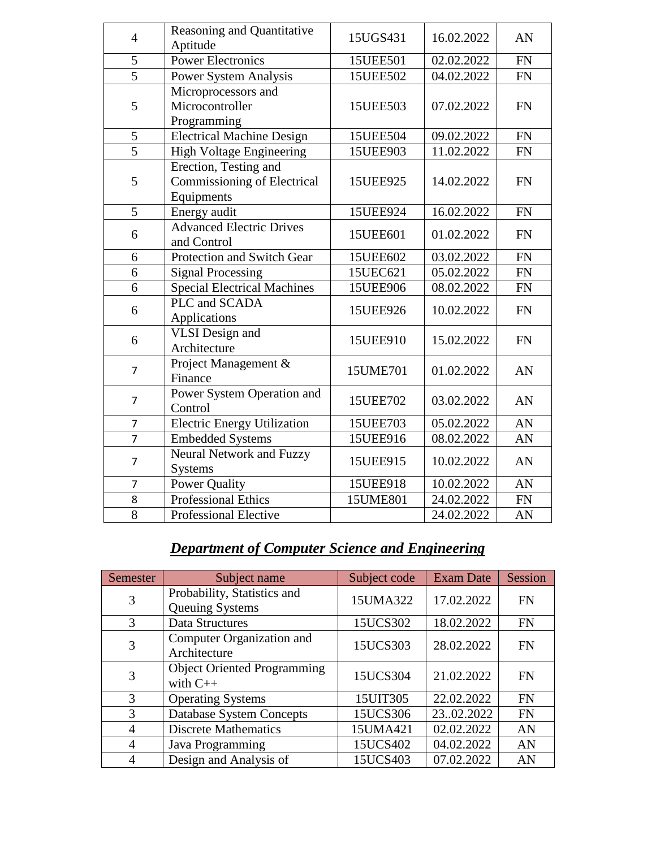| $\overline{4}$ | Reasoning and Quantitative         |          | 16.02.2022 | AN         |
|----------------|------------------------------------|----------|------------|------------|
|                | Aptitude                           | 15UGS431 |            |            |
| 5              | <b>Power Electronics</b>           | 15UEE501 | 02.02.2022 | FN         |
| $\overline{5}$ | <b>Power System Analysis</b>       | 15UEE502 | 04.02.2022 | FN         |
|                | Microprocessors and                |          |            |            |
| 5              | Microcontroller                    | 15UEE503 | 07.02.2022 | <b>FN</b>  |
|                | Programming                        |          |            |            |
| 5              | <b>Electrical Machine Design</b>   | 15UEE504 | 09.02.2022 | <b>FN</b>  |
| $\overline{5}$ | <b>High Voltage Engineering</b>    | 15UEE903 | 11.02.2022 | <b>FN</b>  |
|                | Erection, Testing and              |          |            |            |
| 5              | <b>Commissioning of Electrical</b> | 15UEE925 | 14.02.2022 | <b>FN</b>  |
|                | Equipments                         |          |            |            |
| 5              | Energy audit                       | 15UEE924 | 16.02.2022 | <b>FN</b>  |
| 6              | <b>Advanced Electric Drives</b>    | 15UEE601 | 01.02.2022 | <b>FN</b>  |
|                | and Control                        |          |            |            |
| 6              | Protection and Switch Gear         | 15UEE602 | 03.02.2022 | <b>FN</b>  |
| 6              | <b>Signal Processing</b>           | 15UEC621 | 05.02.2022 | <b>FN</b>  |
| 6              | <b>Special Electrical Machines</b> | 15UEE906 | 08.02.2022 | FN         |
| 6              | PLC and SCADA                      | 15UEE926 | 10.02.2022 | <b>FN</b>  |
|                | Applications                       |          |            |            |
| 6              | <b>VLSI</b> Design and             | 15UEE910 | 15.02.2022 | <b>FN</b>  |
|                | Architecture                       |          |            |            |
| $\overline{7}$ | Project Management &               | 15UME701 | 01.02.2022 | AN         |
|                | Finance                            |          |            |            |
| $\overline{7}$ | Power System Operation and         | 15UEE702 | 03.02.2022 | AN         |
|                | Control                            |          |            |            |
| $\overline{7}$ | <b>Electric Energy Utilization</b> | 15UEE703 | 05.02.2022 | AN         |
| $\overline{7}$ | <b>Embedded Systems</b>            | 15UEE916 | 08.02.2022 | AN         |
| 7              | Neural Network and Fuzzy           | 15UEE915 | 10.02.2022 | AN         |
|                | <b>Systems</b>                     |          |            |            |
| $\overline{7}$ | <b>Power Quality</b>               | 15UEE918 | 10.02.2022 | AN         |
| 8              | Professional Ethics                | 15UME801 | 24.02.2022 | ${\rm FN}$ |
| 8              | <b>Professional Elective</b>       |          | 24.02.2022 | AN         |

# *Department of Computer Science and Engineering*

| Semester       | Subject name                                     | Subject code | <b>Exam Date</b> | Session   |
|----------------|--------------------------------------------------|--------------|------------------|-----------|
| 3              | Probability, Statistics and<br>Queuing Systems   | 15UMA322     | 17.02.2022       | <b>FN</b> |
| 3              | Data Structures                                  | 15UCS302     | 18.02.2022       | <b>FN</b> |
| 3              | Computer Organization and<br>Architecture        | 15UCS303     | 28.02.2022       | <b>FN</b> |
| 3              | <b>Object Oriented Programming</b><br>with $C++$ | 15UCS304     | 21.02.2022       | <b>FN</b> |
| 3              | <b>Operating Systems</b>                         | 15UIT305     | 22.02.2022       | <b>FN</b> |
| 3              | Database System Concepts                         | 15UCS306     | 2302.2022        | <b>FN</b> |
| $\overline{4}$ | <b>Discrete Mathematics</b>                      | 15UMA421     | 02.02.2022       | AN        |
| $\overline{4}$ | Java Programming                                 | 15UCS402     | 04.02.2022       | AN        |
| 4              | Design and Analysis of                           | 15UCS403     | 07.02.2022       | AN        |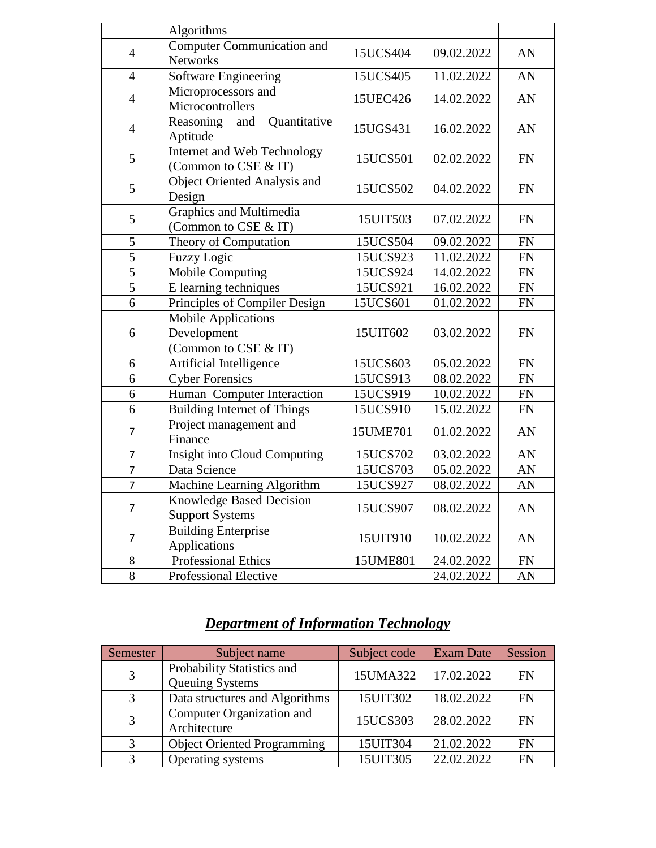|                | Algorithms                         |          |            |           |
|----------------|------------------------------------|----------|------------|-----------|
|                |                                    |          |            |           |
| $\overline{4}$ | <b>Computer Communication and</b>  | 15UCS404 | 09.02.2022 | AN        |
|                | <b>Networks</b>                    |          |            |           |
| $\overline{4}$ | <b>Software Engineering</b>        | 15UCS405 | 11.02.2022 | AN        |
| $\overline{4}$ | Microprocessors and                | 15UEC426 | 14.02.2022 | AN        |
|                | Microcontrollers                   |          |            |           |
| $\overline{4}$ | Reasoning<br>Quantitative<br>and   | 15UGS431 | 16.02.2022 | AN        |
|                | Aptitude                           |          |            |           |
| 5              | Internet and Web Technology        | 15UCS501 | 02.02.2022 | <b>FN</b> |
|                | (Common to CSE & IT)               |          |            |           |
| 5              | Object Oriented Analysis and       | 15UCS502 | 04.02.2022 | <b>FN</b> |
|                | Design                             |          |            |           |
| 5              | Graphics and Multimedia            | 15UIT503 | 07.02.2022 | <b>FN</b> |
|                | (Common to CSE & IT)               |          |            |           |
| 5              | Theory of Computation              | 15UCS504 | 09.02.2022 | <b>FN</b> |
| $\overline{5}$ | <b>Fuzzy Logic</b>                 | 15UCS923 | 11.02.2022 | <b>FN</b> |
| 5              | Mobile Computing                   | 15UCS924 | 14.02.2022 | <b>FN</b> |
| $\overline{5}$ | E learning techniques              | 15UCS921 | 16.02.2022 | <b>FN</b> |
| 6              | Principles of Compiler Design      | 15UCS601 | 01.02.2022 | <b>FN</b> |
|                | <b>Mobile Applications</b>         |          |            |           |
| 6              | Development                        | 15UIT602 | 03.02.2022 | <b>FN</b> |
|                | (Common to CSE & IT)               |          |            |           |
| 6              | Artificial Intelligence            | 15UCS603 | 05.02.2022 | <b>FN</b> |
| 6              | <b>Cyber Forensics</b>             | 15UCS913 | 08.02.2022 | <b>FN</b> |
| 6              | Human Computer Interaction         | 15UCS919 | 10.02.2022 | <b>FN</b> |
| 6              | <b>Building Internet of Things</b> | 15UCS910 | 15.02.2022 | <b>FN</b> |
|                | Project management and             |          |            |           |
| 7              | Finance                            | 15UME701 | 01.02.2022 | AN        |
| 7              | Insight into Cloud Computing       | 15UCS702 | 03.02.2022 | AN        |
| $\overline{7}$ | Data Science                       | 15UCS703 | 05.02.2022 | AN        |
| $\overline{7}$ | Machine Learning Algorithm         | 15UCS927 | 08.02.2022 | AN        |
|                | Knowledge Based Decision           |          |            |           |
| $\overline{7}$ | <b>Support Systems</b>             | 15UCS907 | 08.02.2022 | AN        |
|                | <b>Building Enterprise</b>         |          |            |           |
| $\overline{7}$ | <b>Applications</b>                | 15UIT910 | 10.02.2022 | AN        |
| 8              | Professional Ethics                | 15UME801 | 24.02.2022 | FN        |
| 8              | Professional Elective              |          | 24.02.2022 | AN        |

# *Department of Information Technology*

| Semester | Subject name                       | Subject code | <b>Exam Date</b> | Session   |
|----------|------------------------------------|--------------|------------------|-----------|
| 3        | Probability Statistics and         | 15UMA322     | 17.02.2022       | <b>FN</b> |
|          | Queuing Systems                    |              |                  |           |
| 3        | Data structures and Algorithms     | 15UIT302     | 18.02.2022       | <b>FN</b> |
| 3        | Computer Organization and          | 15UCS303     | 28.02.2022       | FN        |
|          | Architecture                       |              |                  |           |
| 3        | <b>Object Oriented Programming</b> | 15UIT304     | 21.02.2022       | FN        |
| 3        | Operating systems                  | 15UIT305     | 22.02.2022       | FN        |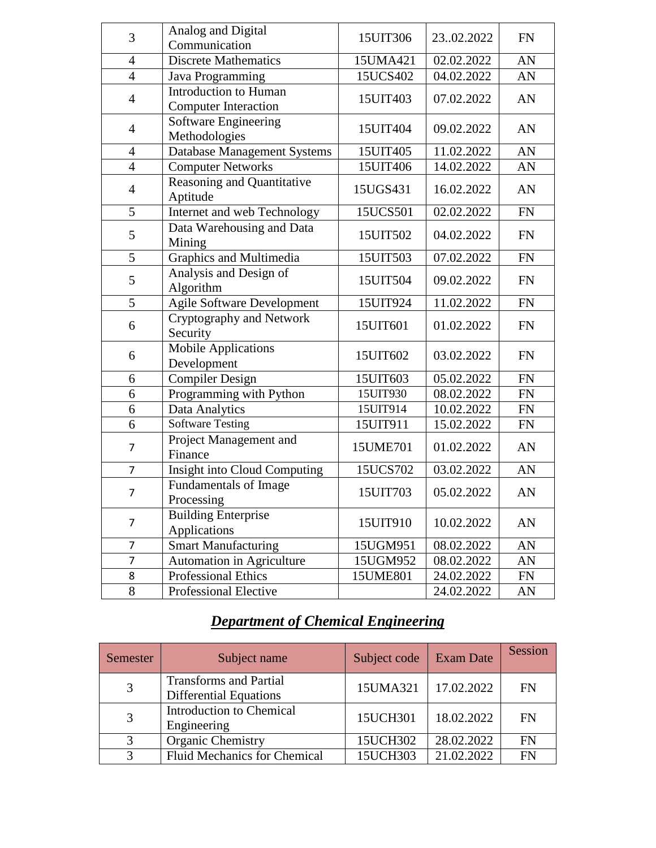| 3                   | Analog and Digital<br>Communication        | 15UIT306 | 2302.2022  | <b>FN</b> |
|---------------------|--------------------------------------------|----------|------------|-----------|
| $\overline{4}$      | <b>Discrete Mathematics</b>                | 15UMA421 | 02.02.2022 | AN        |
| $\overline{4}$      |                                            | 15UCS402 | 04.02.2022 | AN        |
|                     | Java Programming<br>Introduction to Human  |          |            |           |
| $\overline{4}$      | <b>Computer Interaction</b>                | 15UIT403 | 07.02.2022 | AN        |
| $\overline{4}$      | Software Engineering                       | 15UIT404 | 09.02.2022 | AN        |
|                     | Methodologies                              | 15UIT405 |            |           |
| 4<br>$\overline{4}$ | <b>Database Management Systems</b>         |          | 11.02.2022 | AN        |
|                     | <b>Computer Networks</b>                   | 15UIT406 | 14.02.2022 | AN        |
| $\overline{4}$      | Reasoning and Quantitative<br>Aptitude     | 15UGS431 | 16.02.2022 | AN        |
| 5                   | Internet and web Technology                | 15UCS501 | 02.02.2022 | <b>FN</b> |
| 5                   | Data Warehousing and Data<br>Mining        | 15UIT502 | 04.02.2022 | <b>FN</b> |
| 5                   | Graphics and Multimedia                    | 15UIT503 | 07.02.2022 | <b>FN</b> |
| 5                   | Analysis and Design of<br>Algorithm        | 15UIT504 | 09.02.2022 | <b>FN</b> |
| 5                   | <b>Agile Software Development</b>          | 15UIT924 | 11.02.2022 | <b>FN</b> |
| 6                   | Cryptography and Network<br>Security       | 15UIT601 | 01.02.2022 | <b>FN</b> |
| 6                   | <b>Mobile Applications</b><br>Development  | 15UIT602 | 03.02.2022 | <b>FN</b> |
| 6                   | <b>Compiler Design</b>                     | 15UIT603 | 05.02.2022 | <b>FN</b> |
| 6                   | Programming with Python                    | 15UIT930 | 08.02.2022 | <b>FN</b> |
| 6                   | Data Analytics                             | 15UIT914 | 10.02.2022 | <b>FN</b> |
| 6                   | <b>Software Testing</b>                    | 15UIT911 | 15.02.2022 | <b>FN</b> |
| $\overline{7}$      | Project Management and<br>Finance          | 15UME701 | 01.02.2022 | AN        |
| $\overline{7}$      | Insight into Cloud Computing               | 15UCS702 | 03.02.2022 | AN        |
| $\overline{7}$      | <b>Fundamentals of Image</b><br>Processing | 15UIT703 | 05.02.2022 | AN        |
| 7                   | <b>Building Enterprise</b><br>Applications | 15UIT910 | 10.02.2022 | AN        |
| $\overline{7}$      | <b>Smart Manufacturing</b>                 | 15UGM951 | 08.02.2022 | AN        |
| $\overline{7}$      | Automation in Agriculture                  | 15UGM952 | 08.02.2022 | AN        |
| 8                   | Professional Ethics                        | 15UME801 | 24.02.2022 | <b>FN</b> |
| 8                   | Professional Elective                      |          | 24.02.2022 | AN        |

# *Department of Chemical Engineering*

| Semester | Subject name                                                   | Subject code | <b>Exam Date</b> | Session   |
|----------|----------------------------------------------------------------|--------------|------------------|-----------|
| 3        | <b>Transforms and Partial</b><br><b>Differential Equations</b> | 15UMA321     | 17.02.2022       | <b>FN</b> |
| 3        | Introduction to Chemical<br>Engineering                        | 15UCH301     | 18.02.2022       | <b>FN</b> |
| 3        | <b>Organic Chemistry</b>                                       | 15UCH302     | 28.02.2022       | <b>FN</b> |
| 3        | <b>Fluid Mechanics for Chemical</b>                            | 15UCH303     | 21.02.2022       | <b>FN</b> |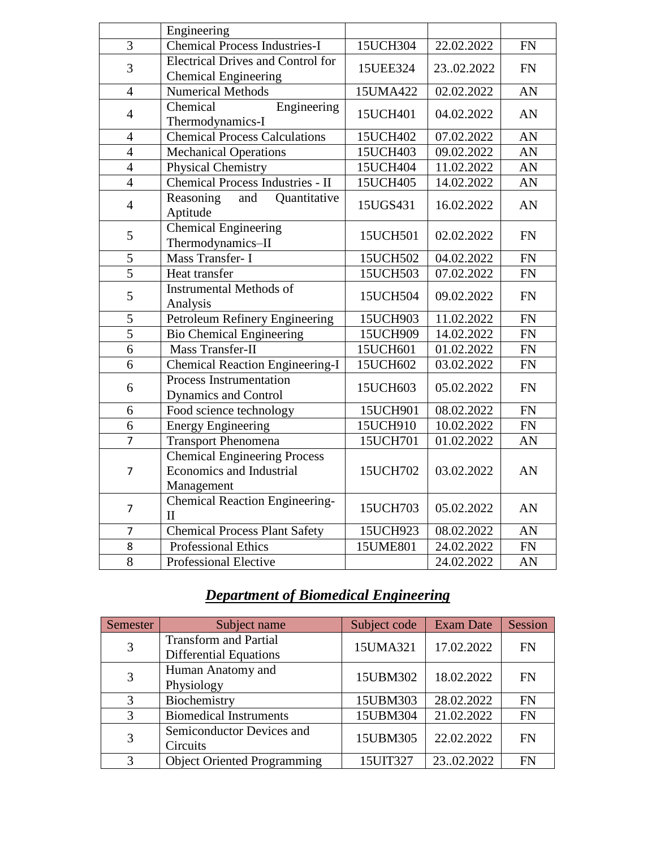|                | Engineering                                            |          |            |            |  |
|----------------|--------------------------------------------------------|----------|------------|------------|--|
| $\overline{3}$ | <b>Chemical Process Industries-I</b>                   | 15UCH304 | 22.02.2022 | <b>FN</b>  |  |
|                | <b>Electrical Drives and Control for</b>               |          |            |            |  |
| 3              |                                                        | 15UEE324 | 2302.2022  | <b>FN</b>  |  |
|                | <b>Chemical Engineering</b>                            |          |            |            |  |
| $\overline{4}$ | <b>Numerical Methods</b>                               | 15UMA422 | 02.02.2022 | AN         |  |
| $\overline{4}$ | Chemical<br>Engineering                                | 15UCH401 | 04.02.2022 | AN         |  |
|                | Thermodynamics-I                                       |          |            |            |  |
| $\overline{4}$ | <b>Chemical Process Calculations</b>                   | 15UCH402 | 07.02.2022 | AN         |  |
| $\overline{4}$ | <b>Mechanical Operations</b>                           | 15UCH403 | 09.02.2022 | AN         |  |
| $\overline{4}$ | Physical Chemistry                                     | 15UCH404 | 11.02.2022 | AN         |  |
| $\overline{4}$ | Chemical Process Industries - II                       | 15UCH405 | 14.02.2022 | AN         |  |
| $\overline{4}$ | Quantitative<br>Reasoning<br>and<br>Aptitude           | 15UGS431 | 16.02.2022 | AN         |  |
| 5              | <b>Chemical Engineering</b><br>Thermodynamics-II       | 15UCH501 | 02.02.2022 | <b>FN</b>  |  |
| 5              | Mass Transfer- I                                       | 15UCH502 | 04.02.2022 | ${\rm FN}$ |  |
| $\overline{5}$ | Heat transfer                                          | 15UCH503 | 07.02.2022 | ${\rm FN}$ |  |
| 5              | <b>Instrumental Methods of</b><br>Analysis             | 15UCH504 | 09.02.2022 | <b>FN</b>  |  |
| 5              | Petroleum Refinery Engineering                         | 15UCH903 | 11.02.2022 | FN         |  |
| $\overline{5}$ | <b>Bio Chemical Engineering</b>                        | 15UCH909 | 14.02.2022 | FN         |  |
| 6              | <b>Mass Transfer-II</b>                                | 15UCH601 | 01.02.2022 | FN         |  |
| 6              | <b>Chemical Reaction Engineering-I</b>                 | 15UCH602 | 03.02.2022 | FN         |  |
| 6              | Process Instrumentation<br><b>Dynamics and Control</b> | 15UCH603 | 05.02.2022 | <b>FN</b>  |  |
| 6              | Food science technology                                | 15UCH901 | 08.02.2022 | <b>FN</b>  |  |
| 6              | <b>Energy Engineering</b>                              | 15UCH910 | 10.02.2022 | FN         |  |
| $\overline{7}$ | <b>Transport Phenomena</b>                             | 15UCH701 | 01.02.2022 | AN         |  |
|                | <b>Chemical Engineering Process</b>                    |          |            |            |  |
| $\overline{7}$ | Economics and Industrial                               | 15UCH702 | 03.02.2022 | AN         |  |
|                | Management                                             |          |            |            |  |
|                | <b>Chemical Reaction Engineering-</b>                  |          |            |            |  |
| 7              | $\mathbf{I}$                                           | 15UCH703 | 05.02.2022 | AN         |  |
| $\overline{7}$ | <b>Chemical Process Plant Safety</b>                   | 15UCH923 | 08.02.2022 | AN         |  |
| 8              | <b>Professional Ethics</b>                             | 15UME801 | 24.02.2022 | ${\rm FN}$ |  |
| 8              | Professional Elective                                  |          | 24.02.2022 | AN         |  |

## *Department of Biomedical Engineering*

| Semester      | Subject name                                                  | Subject code | <b>Exam Date</b> | Session   |
|---------------|---------------------------------------------------------------|--------------|------------------|-----------|
| 3             | <b>Transform and Partial</b><br><b>Differential Equations</b> | 15UMA321     | 17.02.2022       | <b>FN</b> |
| 3             | Human Anatomy and<br>Physiology                               | 15UBM302     | 18.02.2022       | <b>FN</b> |
| 3             | Biochemistry                                                  | 15UBM303     | 28.02.2022       | <b>FN</b> |
| $\mathcal{R}$ | <b>Biomedical Instruments</b>                                 | 15UBM304     | 21.02.2022       | <b>FN</b> |
| 3             | Semiconductor Devices and<br>Circuits                         | 15UBM305     | 22.02.2022       | <b>FN</b> |
| $\mathcal{R}$ | <b>Object Oriented Programming</b>                            | 15UIT327     | 2302.2022        | <b>FN</b> |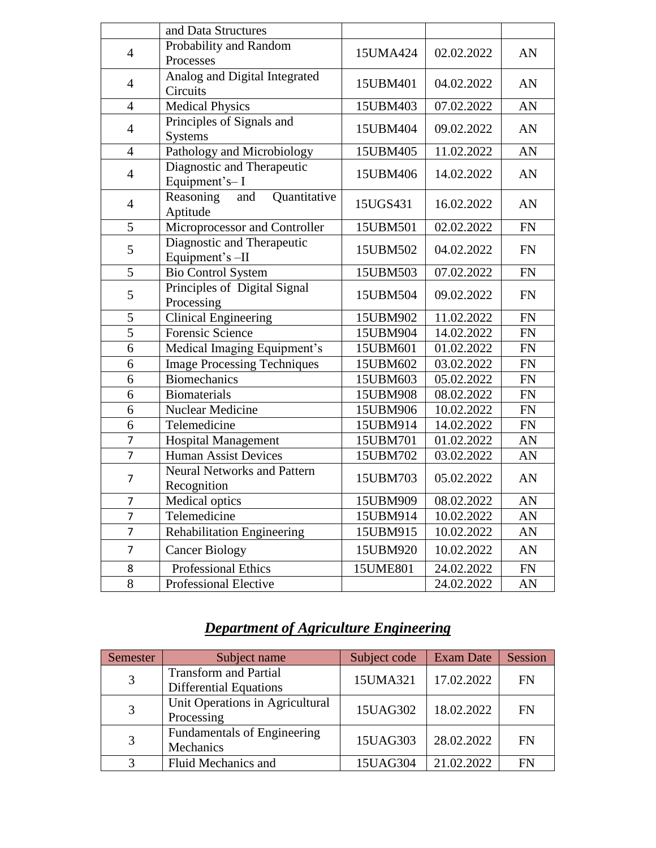|                | and Data Structures                               |                        |            |           |  |
|----------------|---------------------------------------------------|------------------------|------------|-----------|--|
|                | Probability and Random                            |                        |            |           |  |
| $\overline{4}$ | Processes                                         | 15UMA424               | 02.02.2022 | AN        |  |
| $\overline{4}$ | Analog and Digital Integrated<br>Circuits         | 15UBM401               | 04.02.2022 | AN        |  |
| $\overline{4}$ | <b>Medical Physics</b>                            | 15UBM403               | 07.02.2022 | AN        |  |
| $\overline{4}$ | Principles of Signals and<br><b>Systems</b>       | 15UBM404               | 09.02.2022 | AN        |  |
| $\overline{4}$ | Pathology and Microbiology                        | 15UBM405               | 11.02.2022 | AN        |  |
| $\overline{4}$ | Diagnostic and Therapeutic<br>Equipment's-I       | 15UBM406               | 14.02.2022 | AN        |  |
| $\overline{4}$ | Reasoning<br>Quantitative<br>and<br>Aptitude      | 15UGS431<br>16.02.2022 |            | AN        |  |
| 5              | Microprocessor and Controller                     | 15UBM501               | 02.02.2022 | <b>FN</b> |  |
| 5              | Diagnostic and Therapeutic<br>Equipment's -II     | 15UBM502               | 04.02.2022 | <b>FN</b> |  |
| 5              | <b>Bio Control System</b>                         |                        | 07.02.2022 | <b>FN</b> |  |
| 5              | Principles of Digital Signal<br>Processing        | 15UBM504               | 09.02.2022 | <b>FN</b> |  |
| 5              | <b>Clinical Engineering</b>                       | 15UBM902               | 11.02.2022 | <b>FN</b> |  |
| $\overline{5}$ | <b>Forensic Science</b>                           | 15UBM904               | 14.02.2022 | <b>FN</b> |  |
| 6              | Medical Imaging Equipment's                       | 15UBM601               | 01.02.2022 | <b>FN</b> |  |
| 6              | <b>Image Processing Techniques</b>                | 15UBM602               | 03.02.2022 | FN        |  |
| 6              | <b>Biomechanics</b>                               | 15UBM603               | 05.02.2022 | FN        |  |
| 6              | <b>Biomaterials</b>                               | 15UBM908               | 08.02.2022 | <b>FN</b> |  |
| 6              | Nuclear Medicine                                  | 15UBM906               | 10.02.2022 | FN        |  |
| 6              | Telemedicine                                      | 15UBM914               | 14.02.2022 | FN        |  |
| 7              | <b>Hospital Management</b>                        | 15UBM701               | 01.02.2022 | AN        |  |
| $\overline{7}$ | <b>Human Assist Devices</b>                       | 15UBM702               | 03.02.2022 | AN        |  |
| 7              | <b>Neural Networks and Pattern</b><br>Recognition | 15UBM703               | 05.02.2022 | AN        |  |
| 7              | <b>Medical optics</b>                             | 15UBM909               | 08.02.2022 | AN        |  |
| $\overline{7}$ | Telemedicine                                      | 15UBM914               | 10.02.2022 | AN        |  |
| $\overline{7}$ | <b>Rehabilitation Engineering</b>                 | 15UBM915               | 10.02.2022 | AN        |  |
| 7              | <b>Cancer Biology</b>                             | 15UBM920               | 10.02.2022 | AN        |  |
| 8              | <b>Professional Ethics</b>                        | 15UME801               | 24.02.2022 | <b>FN</b> |  |
| 8              | Professional Elective                             |                        | 24.02.2022 | AN        |  |

# *Department of Agriculture Engineering*

| Semester | Subject name                                                  | Subject code | <b>Exam Date</b> | Session   |
|----------|---------------------------------------------------------------|--------------|------------------|-----------|
| 3        | <b>Transform and Partial</b><br><b>Differential Equations</b> | 15UMA321     | 17.02.2022       | FN        |
| 3        | Unit Operations in Agricultural<br>Processing                 | 15UAG302     | 18.02.2022       | <b>FN</b> |
| 3        | <b>Fundamentals of Engineering</b><br>Mechanics               | 15UAG303     | 28.02.2022       | FN        |
|          | Fluid Mechanics and                                           | 15UAG304     | 21.02.2022       | FN        |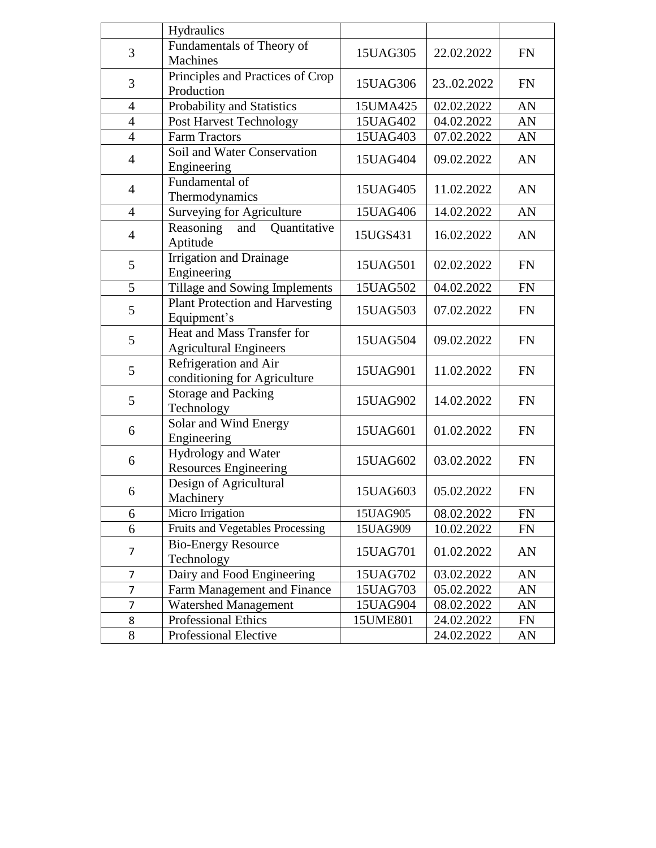|                | Hydraulics                                                  |          |            |           |  |
|----------------|-------------------------------------------------------------|----------|------------|-----------|--|
| 3              | Fundamentals of Theory of                                   | 15UAG305 | 22.02.2022 | <b>FN</b> |  |
|                | <b>Machines</b>                                             |          |            |           |  |
| 3              | Principles and Practices of Crop                            | 15UAG306 | 2302.2022  | <b>FN</b> |  |
|                | Production                                                  |          |            |           |  |
| 4              | Probability and Statistics                                  | 15UMA425 | 02.02.2022 | AN        |  |
| $\overline{4}$ | Post Harvest Technology                                     | 15UAG402 | 04.02.2022 | AN        |  |
| $\overline{4}$ | <b>Farm Tractors</b>                                        | 15UAG403 | 07.02.2022 | AN        |  |
| $\overline{4}$ | Soil and Water Conservation<br>Engineering                  | 15UAG404 | 09.02.2022 | AN        |  |
| $\overline{4}$ | Fundamental of<br>Thermodynamics                            | 15UAG405 | 11.02.2022 | AN        |  |
| $\overline{4}$ | <b>Surveying for Agriculture</b>                            | 15UAG406 | 14.02.2022 | AN        |  |
|                | Quantitative<br>Reasoning<br>and                            |          |            |           |  |
| $\overline{4}$ | Aptitude                                                    | 15UGS431 | 16.02.2022 | AN        |  |
| 5              | <b>Irrigation and Drainage</b>                              | 15UAG501 | 02.02.2022 | <b>FN</b> |  |
| 5              | Engineering<br>Tillage and Sowing Implements                |          | 04.02.2022 | <b>FN</b> |  |
|                | <b>Plant Protection and Harvesting</b>                      | 15UAG502 |            |           |  |
| 5              | Equipment's                                                 | 15UAG503 | 07.02.2022 | <b>FN</b> |  |
| 5              | Heat and Mass Transfer for<br><b>Agricultural Engineers</b> | 15UAG504 | 09.02.2022 | <b>FN</b> |  |
|                | Refrigeration and Air                                       |          |            |           |  |
| 5              | conditioning for Agriculture                                | 15UAG901 | 11.02.2022 | <b>FN</b> |  |
| 5              | <b>Storage and Packing</b>                                  | 15UAG902 | 14.02.2022 | <b>FN</b> |  |
|                | Technology                                                  |          |            |           |  |
| 6              | Solar and Wind Energy                                       | 15UAG601 | 01.02.2022 | <b>FN</b> |  |
|                | Engineering                                                 |          |            |           |  |
| 6              | Hydrology and Water                                         | 15UAG602 | 03.02.2022 | <b>FN</b> |  |
|                | <b>Resources Engineering</b>                                |          |            |           |  |
| 6              | Design of Agricultural                                      | 15UAG603 | 05.02.2022 | <b>FN</b> |  |
|                | Machinery                                                   |          |            |           |  |
| 6              | Micro Irrigation                                            | 15UAG905 | 08.02.2022 | <b>FN</b> |  |
| 6              | Fruits and Vegetables Processing                            | 15UAG909 | 10.02.2022 | <b>FN</b> |  |
| 7              | <b>Bio-Energy Resource</b><br>Technology                    |          | 01.02.2022 | AN        |  |
| 7              | Dairy and Food Engineering                                  | 15UAG702 | 03.02.2022 | AN        |  |
| 7              | Farm Management and Finance                                 | 15UAG703 | 05.02.2022 | AN        |  |
| 7              | Watershed Management                                        | 15UAG904 | 08.02.2022 | AN        |  |
| 8              | Professional Ethics                                         | 15UME801 | 24.02.2022 | FN        |  |
| 8              | Professional Elective                                       |          | 24.02.2022 | AN        |  |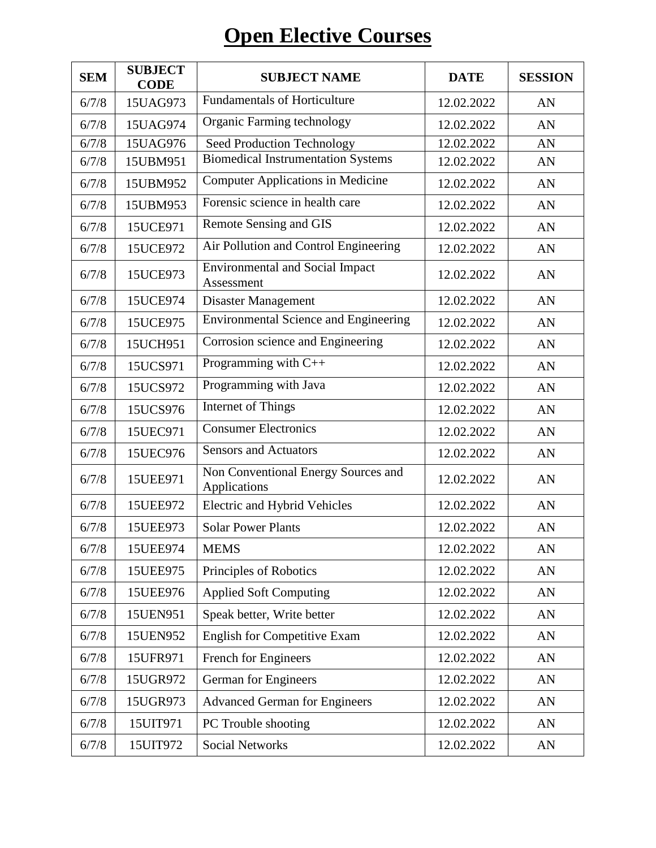# **Open Elective Courses**

| <b>SEM</b> | <b>SUBJECT</b><br><b>CODE</b> | <b>SUBJECT NAME</b>                                  | <b>DATE</b> | <b>SESSION</b> |
|------------|-------------------------------|------------------------------------------------------|-------------|----------------|
| 6/7/8      | 15UAG973                      | <b>Fundamentals of Horticulture</b>                  | 12.02.2022  | AN             |
| 6/7/8      | 15UAG974                      | Organic Farming technology                           | 12.02.2022  | AN             |
| 6/7/8      | 15UAG976                      | Seed Production Technology                           | 12.02.2022  | AN             |
| 6/7/8      | 15UBM951                      | <b>Biomedical Instrumentation Systems</b>            | 12.02.2022  | AN             |
| 6/7/8      | 15UBM952                      | <b>Computer Applications in Medicine</b>             | 12.02.2022  | AN             |
| 6/7/8      | 15UBM953                      | Forensic science in health care                      | 12.02.2022  | AN             |
| 6/7/8      | 15UCE971                      | Remote Sensing and GIS                               | 12.02.2022  | AN             |
| 6/7/8      | 15UCE972                      | Air Pollution and Control Engineering                | 12.02.2022  | AN             |
| 6/7/8      | 15UCE973                      | <b>Environmental and Social Impact</b><br>Assessment | 12.02.2022  | AN             |
| 6/7/8      | 15UCE974                      | Disaster Management                                  | 12.02.2022  | AN             |
| 6/7/8      | 15UCE975                      | <b>Environmental Science and Engineering</b>         | 12.02.2022  | AN             |
| 6/7/8      | 15UCH951                      | Corrosion science and Engineering                    | 12.02.2022  | AN             |
| 6/7/8      | 15UCS971                      | Programming with C++                                 | 12.02.2022  | AN             |
| 6/7/8      | 15UCS972                      | Programming with Java                                | 12.02.2022  | AN             |
| 6/7/8      | 15UCS976                      | <b>Internet of Things</b>                            | 12.02.2022  | AN             |
| 6/7/8      | 15UEC971                      | <b>Consumer Electronics</b>                          | 12.02.2022  | AN             |
| 6/7/8      | 15UEC976                      | <b>Sensors and Actuators</b>                         | 12.02.2022  | AN             |
| 6/7/8      | 15UEE971                      | Non Conventional Energy Sources and<br>Applications  | 12.02.2022  | AN             |
| 6/7/8      | 15UEE972                      | Electric and Hybrid Vehicles                         | 12.02.2022  | AN             |
| 6/7/8      | 15UEE973                      | <b>Solar Power Plants</b>                            | 12.02.2022  | AN             |
| 6/7/8      | 15UEE974                      | <b>MEMS</b>                                          | 12.02.2022  | AN             |
| 6/7/8      | 15UEE975                      | Principles of Robotics                               | 12.02.2022  | AN             |
| 6/7/8      | 15UEE976                      | <b>Applied Soft Computing</b>                        | 12.02.2022  | AN             |
| 6/7/8      | 15UEN951                      | Speak better, Write better                           | 12.02.2022  | AN             |
| 6/7/8      | 15UEN952                      | <b>English for Competitive Exam</b>                  | 12.02.2022  | AN             |
| 6/7/8      | 15UFR971                      | French for Engineers                                 | 12.02.2022  | AN             |
| 6/7/8      | 15UGR972                      | German for Engineers                                 | 12.02.2022  | AN             |
| 6/7/8      | 15UGR973                      | <b>Advanced German for Engineers</b>                 | 12.02.2022  | AN             |
| 6/7/8      | 15UIT971                      | PC Trouble shooting                                  | 12.02.2022  | AN             |
| 6/7/8      | 15UIT972                      | <b>Social Networks</b>                               | 12.02.2022  | AN             |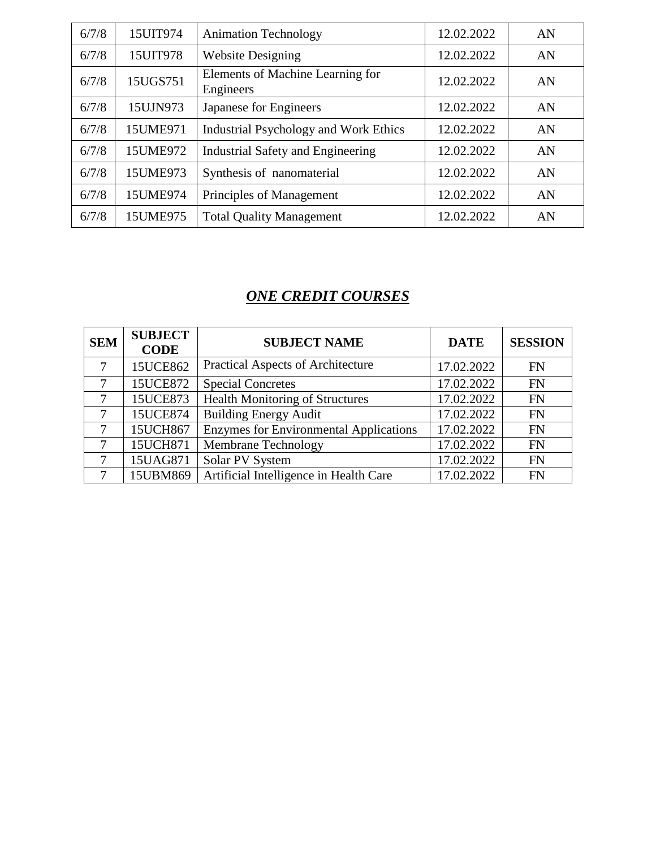| 6/7/8 | 15UIT974 | <b>Animation Technology</b>                   | 12.02.2022 | AN |
|-------|----------|-----------------------------------------------|------------|----|
| 6/7/8 | 15UIT978 | <b>Website Designing</b>                      | 12.02.2022 | AN |
| 6/7/8 | 15UGS751 | Elements of Machine Learning for<br>Engineers | 12.02.2022 | AN |
| 6/7/8 | 15UJN973 | Japanese for Engineers                        | 12.02.2022 | AN |
| 6/7/8 | 15UME971 | <b>Industrial Psychology and Work Ethics</b>  | 12.02.2022 | AN |
| 6/7/8 | 15UME972 | <b>Industrial Safety and Engineering</b>      | 12.02.2022 | AN |
| 6/7/8 | 15UME973 | Synthesis of nanomaterial                     | 12.02.2022 | AN |
| 6/7/8 | 15UME974 | Principles of Management                      | 12.02.2022 | AN |
| 6/7/8 | 15UME975 | <b>Total Quality Management</b>               | 12.02.2022 | AN |

### *ONE CREDIT COURSES*

| <b>SEM</b> | <b>SUBJECT</b><br><b>CODE</b> | <b>SUBJECT NAME</b>                           | <b>DATE</b> | <b>SESSION</b> |
|------------|-------------------------------|-----------------------------------------------|-------------|----------------|
| $\tau$     | 15UCE862                      | <b>Practical Aspects of Architecture</b>      | 17.02.2022  | <b>FN</b>      |
| 7          | 15UCE872                      | <b>Special Concretes</b>                      | 17.02.2022  | <b>FN</b>      |
| 7          | 15UCE873                      | <b>Health Monitoring of Structures</b>        | 17.02.2022  | <b>FN</b>      |
| 7          | 15UCE874                      | <b>Building Energy Audit</b>                  | 17.02.2022  | <b>FN</b>      |
| 7          | 15UCH867                      | <b>Enzymes for Environmental Applications</b> | 17.02.2022  | <b>FN</b>      |
| $\tau$     | 15UCH871                      | Membrane Technology                           | 17.02.2022  | <b>FN</b>      |
| 7          | 15UAG871                      | Solar PV System                               | 17.02.2022  | <b>FN</b>      |
| 7          | 15UBM869                      | Artificial Intelligence in Health Care        | 17.02.2022  | <b>FN</b>      |